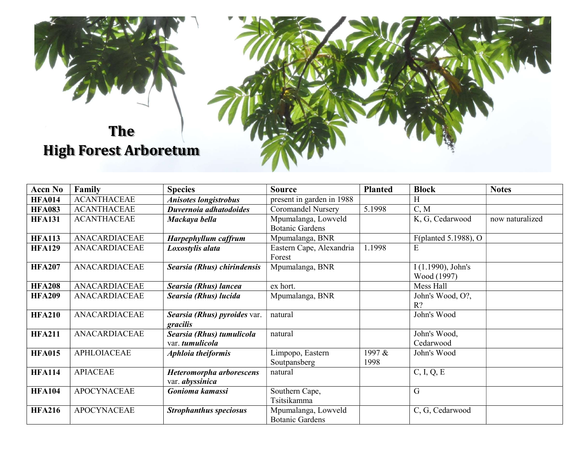

| <b>Accn No</b> | Family               | <b>Species</b>                | <b>Source</b>             | <b>Planted</b> | <b>Block</b>         | <b>Notes</b>    |
|----------------|----------------------|-------------------------------|---------------------------|----------------|----------------------|-----------------|
| <b>HFA014</b>  | <b>ACANTHACEAE</b>   | <b>Anisotes longistrobus</b>  | present in garden in 1988 |                | H                    |                 |
| <b>HFA083</b>  | <b>ACANTHACEAE</b>   | Duvernoia adhatodoides        | <b>Coromandel Nursery</b> | 5.1998         | C, M                 |                 |
| <b>HFA131</b>  | <b>ACANTHACEAE</b>   | Mackaya bella                 | Mpumalanga, Lowveld       |                | K, G, Cedarwood      | now naturalized |
|                |                      |                               | <b>Botanic Gardens</b>    |                |                      |                 |
| <b>HFA113</b>  | ANACARDIACEAE        | Harpephyllum caffrum          | Mpumalanga, BNR           |                | F(planted 5.1988), O |                 |
| <b>HFA129</b>  | ANACARDIACEAE        | Loxostylis alata              | Eastern Cape, Alexandria  | 1.1998         | E                    |                 |
|                |                      |                               | Forest                    |                |                      |                 |
| <b>HFA207</b>  | ANACARDIACEAE        | Searsia (Rhus) chirindensis   | Mpumalanga, BNR           |                | $I(1.1990)$ , John's |                 |
|                |                      |                               |                           |                | Wood (1997)          |                 |
| <b>HFA208</b>  | <b>ANACARDIACEAE</b> | Searsia (Rhus) lancea         | ex hort.                  |                | Mess Hall            |                 |
| <b>HFA209</b>  | ANACARDIACEAE        | Searsia (Rhus) lucida         | Mpumalanga, BNR           |                | John's Wood, O?,     |                 |
|                |                      |                               |                           |                | $R$ ?                |                 |
| <b>HFA210</b>  | ANACARDIACEAE        | Searsia (Rhus) pyroides var.  | natural                   |                | John's Wood          |                 |
|                |                      | gracilis                      |                           |                |                      |                 |
| <b>HFA211</b>  | ANACARDIACEAE        | Searsia (Rhus) tumulicola     | natural                   |                | John's Wood,         |                 |
|                |                      | var. tumulicola               |                           |                | Cedarwood            |                 |
| <b>HFA015</b>  | <b>APHLOIACEAE</b>   | <b>Aphloia theiformis</b>     | Limpopo, Eastern          | 1997 &         | John's Wood          |                 |
|                |                      |                               | Soutpansberg              | 1998           |                      |                 |
| <b>HFA114</b>  | <b>APIACEAE</b>      | Heteromorpha arborescens      | natural                   |                | C, I, Q, E           |                 |
|                |                      | var. <i>abyssinica</i>        |                           |                |                      |                 |
| <b>HFA104</b>  | <b>APOCYNACEAE</b>   | Gonioma kamassi               | Southern Cape,            |                | G                    |                 |
|                |                      |                               | Tsitsikamma               |                |                      |                 |
| <b>HFA216</b>  | <b>APOCYNACEAE</b>   | <b>Strophanthus speciosus</b> | Mpumalanga, Lowveld       |                | C, G, Cedarwood      |                 |
|                |                      |                               | <b>Botanic Gardens</b>    |                |                      |                 |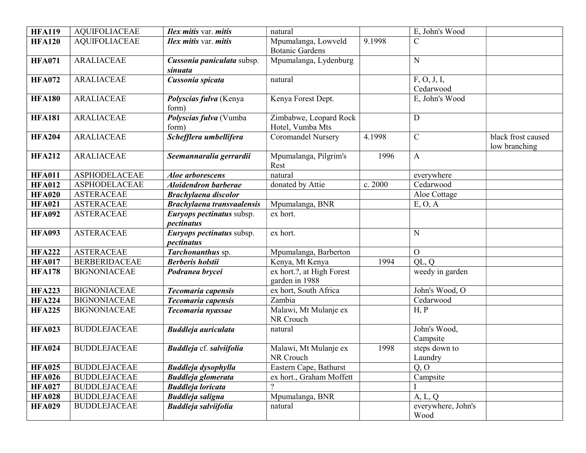| <b>HFA119</b> | <b>AQUIFOLIACEAE</b> | <b>Ilex mitis var. mitis</b>                 | natural                                       |         | E, John's Wood             |                                     |
|---------------|----------------------|----------------------------------------------|-----------------------------------------------|---------|----------------------------|-------------------------------------|
| <b>HFA120</b> | <b>AQUIFOLIACEAE</b> | <b>Ilex mitis var. mitis</b>                 | Mpumalanga, Lowveld<br><b>Botanic Gardens</b> | 9.1998  | $\mathcal{C}$              |                                     |
| <b>HFA071</b> | <b>ARALIACEAE</b>    | Cussonia paniculata subsp.<br><i>sinuata</i> | Mpumalanga, Lydenburg                         |         | N                          |                                     |
| <b>HFA072</b> | <b>ARALIACEAE</b>    | Cussonia spicata                             | natural                                       |         | F, O, J, I,<br>Cedarwood   |                                     |
| <b>HFA180</b> | <b>ARALIACEAE</b>    | Polyscias fulva (Kenya<br>form)              | Kenya Forest Dept.                            |         | E, John's Wood             |                                     |
| <b>HFA181</b> | <b>ARALIACEAE</b>    | Polyscias fulva (Vumba<br>form)              | Zimbabwe, Leopard Rock<br>Hotel, Vumba Mts    |         | D                          |                                     |
| <b>HFA204</b> | <b>ARALIACEAE</b>    | Schefflera umbellifera                       | <b>Coromandel Nursery</b>                     | 4.1998  | $\mathbf C$                | black frost caused<br>low branching |
| <b>HFA212</b> | <b>ARALIACEAE</b>    | Seemannaralia gerrardii                      | Mpumalanga, Pilgrim's<br>Rest                 | 1996    | $\mathbf{A}$               |                                     |
| <b>HFA011</b> | <b>ASPHODELACEAE</b> | Aloe arborescens                             | natural                                       |         | everywhere                 |                                     |
| <b>HFA012</b> | <b>ASPHODELACEAE</b> | <b>Aloidendron barberae</b>                  | donated by Attie                              | c. 2000 | Cedarwood                  |                                     |
| <b>HFA020</b> | <b>ASTERACEAE</b>    | <b>Brachylaena discolor</b>                  |                                               |         | Aloe Cottage               |                                     |
| <b>HFA021</b> | <b>ASTERACEAE</b>    | <b>Brachylaena transvaalensis</b>            | Mpumalanga, BNR                               |         | E, O, A                    |                                     |
| <b>HFA092</b> | <b>ASTERACEAE</b>    | Euryops pectinatus subsp.<br>pectinatus      | ex hort.                                      |         |                            |                                     |
| <b>HFA093</b> | <b>ASTERACEAE</b>    | Euryops pectinatus subsp.<br>pectinatus      | ex hort.                                      |         | N                          |                                     |
| <b>HFA222</b> | <b>ASTERACEAE</b>    | Tarchonanthus sp.                            | Mpumalanga, Barberton                         |         | $\overline{O}$             |                                     |
| <b>HFA017</b> | <b>BERBERIDACEAE</b> | <b>Berberis</b> holstii                      | Kenya, Mt Kenya                               | 1994    | QL, Q                      |                                     |
| <b>HFA178</b> | <b>BIGNONIACEAE</b>  | Podranea brycei                              | ex hort.?, at High Forest<br>garden in 1988   |         | weedy in garden            |                                     |
| <b>HFA223</b> | <b>BIGNONIACEAE</b>  | Tecomaria capensis                           | ex hort, South Africa                         |         | John's Wood, O             |                                     |
| <b>HFA224</b> | <b>BIGNONIACEAE</b>  | Tecomaria capensis                           | Zambia                                        |         | Cedarwood                  |                                     |
| <b>HFA225</b> | <b>BIGNONIACEAE</b>  | Tecomaria nyassae                            | Malawi, Mt Mulanje ex<br>NR Crouch            |         | H, P                       |                                     |
| <b>HFA023</b> | <b>BUDDLEJACEAE</b>  | <b>Buddleja</b> auriculata                   | natural                                       |         | John's Wood,<br>Campsite   |                                     |
| <b>HFA024</b> | <b>BUDDLEJACEAE</b>  | <b>Buddleja</b> cf. salviifolia              | Malawi, Mt Mulanje ex<br>NR Crouch            | 1998    | steps down to<br>Laundry   |                                     |
| <b>HFA025</b> | <b>BUDDLEJACEAE</b>  | Buddleja dysophylla                          | Eastern Cape, Bathurst                        |         | Q, O                       |                                     |
| <b>HFA026</b> | <b>BUDDLEJACEAE</b>  | <b>Buddleja glomerata</b>                    | ex hort., Graham Moffett                      |         | Campsite                   |                                     |
| <b>HFA027</b> | <b>BUDDLEJACEAE</b>  | <b>Buddleja loricata</b>                     | $\overline{\mathcal{L}}$                      |         |                            |                                     |
| <b>HFA028</b> | <b>BUDDLEJACEAE</b>  | <b>Buddleja saligna</b>                      | Mpumalanga, BNR                               |         | A, L, Q                    |                                     |
| <b>HFA029</b> | <b>BUDDLEJACEAE</b>  | <b>Buddleja salviifolia</b>                  | natural                                       |         | everywhere, John's<br>Wood |                                     |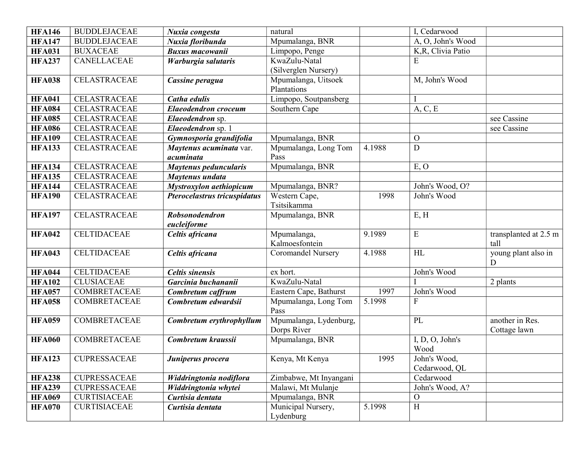| <b>HFA146</b>                  | <b>BUDDLEJACEAE</b>                     | Nuxia congesta                           | natural                                        |        | I, Cedarwood       |                                 |
|--------------------------------|-----------------------------------------|------------------------------------------|------------------------------------------------|--------|--------------------|---------------------------------|
| <b>HFA147</b>                  | <b>BUDDLEJACEAE</b>                     | Nuxia floribunda                         | Mpumalanga, BNR                                |        | A, O, John's Wood  |                                 |
| <b>HFA031</b>                  | <b>BUXACEAE</b>                         | <b>Buxus macowanii</b>                   | Limpopo, Penge                                 |        | K, R, Clivia Patio |                                 |
| <b>HFA237</b>                  | CANELLACEAE                             | Warburgia salutaris                      | KwaZulu-Natal                                  |        | E                  |                                 |
|                                |                                         |                                          | (Silverglen Nursery)                           |        |                    |                                 |
| <b>HFA038</b>                  | <b>CELASTRACEAE</b>                     | Cassine peragua                          | Mpumalanga, Uitsoek                            |        | M, John's Wood     |                                 |
|                                |                                         |                                          | Plantations                                    |        |                    |                                 |
| <b>HFA041</b>                  | <b>CELASTRACEAE</b>                     | Catha edulis                             | Limpopo, Soutpansberg                          |        |                    |                                 |
| <b>HFA084</b>                  | <b>CELASTRACEAE</b>                     | <b>Elaeodendron</b> croceum              | Southern Cape                                  |        | A, C, E            |                                 |
| <b>HFA085</b>                  | <b>CELASTRACEAE</b>                     | Elaeodendron sp.                         |                                                |        |                    | see Cassine                     |
| <b>HFA086</b>                  | CELASTRACEAE                            | Elaeodendron sp. 1                       |                                                |        |                    | see Cassine                     |
| <b>HFA109</b>                  | CELASTRACEAE                            | Gymnosporia grandifolia                  | Mpumalanga, BNR                                |        | $\mathbf{O}$       |                                 |
| <b>HFA133</b>                  | CELASTRACEAE                            | Maytenus acuminata var.                  | Mpumalanga, Long Tom                           | 4.1988 | $\mathbf D$        |                                 |
|                                |                                         | acuminata                                | Pass                                           |        |                    |                                 |
| <b>HFA134</b>                  | CELASTRACEAE                            | Maytenus peduncularis                    | Mpumalanga, BNR                                |        | E, O               |                                 |
| <b>HFA135</b>                  | <b>CELASTRACEAE</b>                     | Maytenus undata                          |                                                |        |                    |                                 |
| <b>HFA144</b>                  | CELASTRACEAE                            | Mystroxylon aethiopicum                  | Mpumalanga, BNR?                               |        | John's Wood, O?    |                                 |
| <b>HFA190</b>                  | CELASTRACEAE                            | Pterocelastrus tricuspidatus             | Western Cape,                                  | 1998   | John's Wood        |                                 |
|                                |                                         |                                          | Tsitsikamma                                    |        |                    |                                 |
| <b>HFA197</b>                  | <b>CELASTRACEAE</b>                     | Robsonodendron                           | Mpumalanga, BNR                                |        | E, H               |                                 |
|                                |                                         | eucleiforme                              |                                                |        |                    |                                 |
| <b>HFA042</b>                  | <b>CELTIDACEAE</b>                      | Celtis africana                          | Mpumalanga,                                    | 9.1989 | E                  | transplanted at $2.5 \text{ m}$ |
|                                |                                         |                                          | Kalmoesfontein                                 |        |                    | tall                            |
| <b>HFA043</b>                  | <b>CELTIDACEAE</b>                      | Celtis africana                          | <b>Coromandel Nursery</b>                      | 4.1988 | HL                 | young plant also in             |
|                                |                                         |                                          | ex hort.                                       |        | John's Wood        | D                               |
| <b>HFA044</b>                  | <b>CELTIDACEAE</b><br><b>CLUSIACEAE</b> | <b>Celtis sinensis</b>                   | KwaZulu-Natal                                  |        |                    |                                 |
| <b>HFA102</b><br><b>HFA057</b> | COMBRETACEAE                            | Garcinia buchananii                      |                                                | 1997   | John's Wood        | 2 plants                        |
| <b>HFA058</b>                  | <b>COMBRETACEAE</b>                     | Combretum caffrum<br>Combretum edwardsii | Eastern Cape, Bathurst<br>Mpumalanga, Long Tom | 5.1998 | $\mathbf{F}$       |                                 |
|                                |                                         |                                          | Pass                                           |        |                    |                                 |
| <b>HFA059</b>                  | COMBRETACEAE                            | Combretum erythrophyllum                 | Mpumalanga, Lydenburg,                         |        | PL                 | another in Res.                 |
|                                |                                         |                                          | Dorps River                                    |        |                    | Cottage lawn                    |
| <b>HFA060</b>                  | COMBRETACEAE                            | Combretum kraussii                       | Mpumalanga, BNR                                |        | I, D, O, John's    |                                 |
|                                |                                         |                                          |                                                |        | Wood               |                                 |
| <b>HFA123</b>                  | <b>CUPRESSACEAE</b>                     | Juniperus procera                        | Kenya, Mt Kenya                                | 1995   | John's Wood,       |                                 |
|                                |                                         |                                          |                                                |        | Cedarwood, QL      |                                 |
| <b>HFA238</b>                  | CUPRESSACEAE                            | Widdringtonia nodiflora                  | Zimbabwe, Mt Inyangani                         |        | Cedarwood          |                                 |
| <b>HFA239</b>                  | CUPRESSACEAE                            | Widdringtonia whytei                     | Malawi, Mt Mulanje                             |        | John's Wood, A?    |                                 |
| <b>HFA069</b>                  | <b>CURTISIACEAE</b>                     | Curtisia dentata                         | Mpumalanga, BNR                                |        | $\mathcal{O}$      |                                 |
| <b>HFA070</b>                  | <b>CURTISIACEAE</b>                     | Curtisia dentata                         | Municipal Nursery,                             | 5.1998 | $\, {\rm H}$       |                                 |
|                                |                                         |                                          | Lydenburg                                      |        |                    |                                 |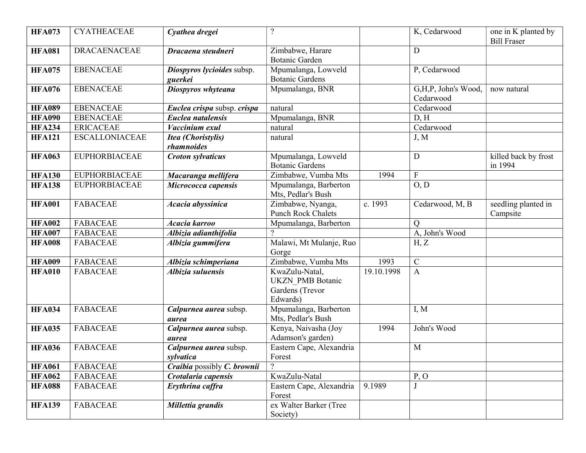| <b>HFA073</b> | <b>CYATHEACEAE</b>    | Cyathea dregei                          | $\overline{?}$                                                           |            | K, Cedarwood                     | one in K planted by<br><b>Bill Fraser</b> |
|---------------|-----------------------|-----------------------------------------|--------------------------------------------------------------------------|------------|----------------------------------|-------------------------------------------|
| <b>HFA081</b> | <b>DRACAENACEAE</b>   | Dracaena steudneri                      | Zimbabwe, Harare<br><b>Botanic Garden</b>                                |            | D                                |                                           |
| <b>HFA075</b> | <b>EBENACEAE</b>      | Diospyros lycioides subsp.<br>guerkei   | Mpumalanga, Lowveld<br><b>Botanic Gardens</b>                            |            | P, Cedarwood                     |                                           |
| <b>HFA076</b> | <b>EBENACEAE</b>      | Diospyros whyteana                      | Mpumalanga, BNR                                                          |            | G,H,P, John's Wood,<br>Cedarwood | now natural                               |
| <b>HFA089</b> | <b>EBENACEAE</b>      | Euclea crispa subsp. crispa             | natural                                                                  |            | Cedarwood                        |                                           |
| <b>HFA090</b> | <b>EBENACEAE</b>      | Euclea natalensis                       | Mpumalanga, BNR                                                          |            | D, H                             |                                           |
| <b>HFA234</b> | <b>ERICACEAE</b>      | Vaccinium exul                          | natural                                                                  |            | Cedarwood                        |                                           |
| <b>HFA121</b> | <b>ESCALLONIACEAE</b> | <b>Itea</b> (Choristylis)<br>rhamnoides | natural                                                                  |            | J, M                             |                                           |
| <b>HFA063</b> | <b>EUPHORBIACEAE</b>  | <b>Croton sylvaticus</b>                | Mpumalanga, Lowveld<br><b>Botanic Gardens</b>                            |            | D                                | killed back by frost<br>in 1994           |
| <b>HFA130</b> | <b>EUPHORBIACEAE</b>  | Macaranga mellifera                     | Zimbabwe, Vumba Mts                                                      | 1994       | $\mathbf{F}$                     |                                           |
| <b>HFA138</b> | <b>EUPHORBIACEAE</b>  | Micrococca capensis                     | Mpumalanga, Barberton<br>Mts, Pedlar's Bush                              |            | O, D                             |                                           |
| <b>HFA001</b> | <b>FABACEAE</b>       | Acacia abyssinica                       | Zimbabwe, Nyanga,<br><b>Punch Rock Chalets</b>                           | c. 1993    | Cedarwood, M, B                  | seedling planted in<br>Campsite           |
| <b>HFA002</b> | <b>FABACEAE</b>       | Acacia karroo                           | Mpumalanga, Barberton                                                    |            | $\overline{Q}$                   |                                           |
| <b>HFA007</b> | <b>FABACEAE</b>       | Albizia adianthifolia                   | $\gamma$                                                                 |            | A, John's Wood                   |                                           |
| <b>HFA008</b> | <b>FABACEAE</b>       | Albizia gummifera                       | Malawi, Mt Mulanje, Ruo<br>Gorge                                         |            | H, Z                             |                                           |
| <b>HFA009</b> | <b>FABACEAE</b>       | Albizia schimperiana                    | Zimbabwe, Vumba Mts                                                      | 1993       | $\mathbf C$                      |                                           |
| <b>HFA010</b> | <b>FABACEAE</b>       | Albizia suluensis                       | KwaZulu-Natal,<br><b>UKZN PMB Botanic</b><br>Gardens (Trevor<br>Edwards) | 19.10.1998 | $\mathbf{A}$                     |                                           |
| <b>HFA034</b> | <b>FABACEAE</b>       | Calpurnea aurea subsp.<br>aurea         | Mpumalanga, Barberton<br>Mts, Pedlar's Bush                              |            | I, M                             |                                           |
| <b>HFA035</b> | <b>FABACEAE</b>       | Calpurnea aurea subsp.<br>aurea         | Kenya, Naivasha (Joy<br>Adamson's garden)                                | 1994       | John's Wood                      |                                           |
| <b>HFA036</b> | <b>FABACEAE</b>       | Calpurnea aurea subsp.<br>sylvatica     | Eastern Cape, Alexandria<br>Forest                                       |            | M                                |                                           |
| <b>HFA061</b> | <b>FABACEAE</b>       | Craibia possibly C. brownii             | $\gamma$                                                                 |            |                                  |                                           |
| <b>HFA062</b> | <b>FABACEAE</b>       | Crotalaria capensis                     | KwaZulu-Natal                                                            |            | P, O                             |                                           |
| <b>HFA088</b> | <b>FABACEAE</b>       | Erythrina caffra                        | Eastern Cape, Alexandria<br>Forest                                       | 9.1989     |                                  |                                           |
| <b>HFA139</b> | <b>FABACEAE</b>       | Millettia grandis                       | ex Walter Barker (Tree<br>Society)                                       |            |                                  |                                           |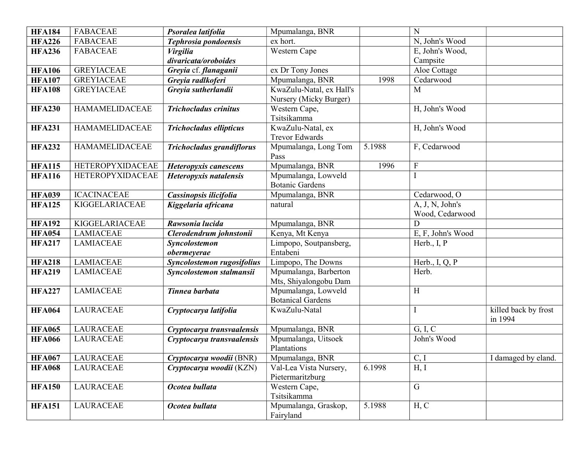| <b>HFA184</b> | <b>FABACEAE</b>         | Psoralea latifolia               | Mpumalanga, BNR          |        | N                         |                                 |
|---------------|-------------------------|----------------------------------|--------------------------|--------|---------------------------|---------------------------------|
| <b>HFA226</b> | <b>FABACEAE</b>         | Tephrosia pondoensis             | ex hort.                 |        | N, John's Wood            |                                 |
| <b>HFA236</b> | <b>FABACEAE</b>         | <b>Virgilia</b>                  | <b>Western Cape</b>      |        | E, John's Wood,           |                                 |
|               |                         | divaricata/oroboides             |                          |        | Campsite                  |                                 |
| <b>HFA106</b> | <b>GREYIACEAE</b>       | Greyia cf. flanaganii            | ex Dr Tony Jones         |        | Aloe Cottage              |                                 |
| <b>HFA107</b> | <b>GREYIACEAE</b>       | Greyia radlkoferi                | Mpumalanga, BNR          | 1998   | Cedarwood                 |                                 |
| <b>HFA108</b> | <b>GREYIACEAE</b>       | Greyia sutherlandii              | KwaZulu-Natal, ex Hall's |        | M                         |                                 |
|               |                         |                                  | Nursery (Micky Burger)   |        |                           |                                 |
| <b>HFA230</b> | <b>HAMAMELIDACEAE</b>   | <b>Trichocladus crinitus</b>     | Western Cape,            |        | H, John's Wood            |                                 |
|               |                         |                                  | Tsitsikamma              |        |                           |                                 |
| <b>HFA231</b> | <b>HAMAMELIDACEAE</b>   | <b>Trichocladus ellipticus</b>   | KwaZulu-Natal, ex        |        | H, John's Wood            |                                 |
|               |                         |                                  | <b>Trevor Edwards</b>    |        |                           |                                 |
| <b>HFA232</b> | <b>HAMAMELIDACEAE</b>   | <b>Trichocladus grandiflorus</b> | Mpumalanga, Long Tom     | 5.1988 | F, Cedarwood              |                                 |
|               |                         |                                  | Pass                     |        |                           |                                 |
| <b>HFA115</b> | <b>HETEROPYXIDACEAE</b> | Heteropyxis canescens            | Mpumalanga, BNR          | 1996   | $\boldsymbol{\mathrm{F}}$ |                                 |
| <b>HFA116</b> | <b>HETEROPYXIDACEAE</b> | Heteropyxis natalensis           | Mpumalanga, Lowveld      |        |                           |                                 |
|               |                         |                                  | <b>Botanic Gardens</b>   |        |                           |                                 |
| <b>HFA039</b> | <b>ICACINACEAE</b>      | Cassinopsis ilicifolia           | Mpumalanga, BNR          |        | Cedarwood, O              |                                 |
| <b>HFA125</b> | KIGGELARIACEAE          | Kiggelaria africana              | natural                  |        | A, J, N, John's           |                                 |
|               |                         |                                  |                          |        | Wood, Cedarwood           |                                 |
| <b>HFA192</b> | <b>KIGGELARIACEAE</b>   | Rawsonia lucida                  | Mpumalanga, BNR          |        | D                         |                                 |
| <b>HFA054</b> | <b>LAMIACEAE</b>        | Clerodendrum johnstonii          | Kenya, Mt Kenya          |        | E, F, John's Wood         |                                 |
| <b>HFA217</b> | <b>LAMIACEAE</b>        | Syncolostemon                    | Limpopo, Soutpansberg,   |        | Herb., I, P               |                                 |
|               |                         | obermeyerae                      | Entabeni                 |        |                           |                                 |
| <b>HFA218</b> | <b>LAMIACEAE</b>        | Syncolostemon rugosifolius       | Limpopo, The Downs       |        | Herb., $I, Q, P$          |                                 |
| <b>HFA219</b> | <b>LAMIACEAE</b>        | Syncolostemon stalmansii         | Mpumalanga, Barberton    |        | Herb.                     |                                 |
|               |                         |                                  | Mts, Shiyalongobu Dam    |        |                           |                                 |
| <b>HFA227</b> | <b>LAMIACEAE</b>        | Tinnea barbata                   | Mpumalanga, Lowveld      |        | H                         |                                 |
|               |                         |                                  | <b>Botanical Gardens</b> |        |                           |                                 |
| <b>HFA064</b> | <b>LAURACEAE</b>        | Cryptocarya latifolia            | KwaZulu-Natal            |        | I                         | killed back by frost<br>in 1994 |
| <b>HFA065</b> | <b>LAURACEAE</b>        | Cryptocarya transvaalensis       | Mpumalanga, BNR          |        | G, I, C                   |                                 |
| <b>HFA066</b> | <b>LAURACEAE</b>        | Cryptocarya transvaalensis       | Mpumalanga, Uitsoek      |        | John's Wood               |                                 |
|               |                         |                                  | Plantations              |        |                           |                                 |
| <b>HFA067</b> | LAURACEAE               | Cryptocarya woodii (BNR)         | Mpumalanga, BNR          |        | C, I                      | I damaged by eland.             |
| <b>HFA068</b> | <b>LAURACEAE</b>        | Cryptocarya woodii (KZN)         | Val-Lea Vista Nursery,   | 6.1998 | H, I                      |                                 |
|               |                         |                                  | Pietermaritzburg         |        |                           |                                 |
| <b>HFA150</b> | <b>LAURACEAE</b>        | Ocotea bullata                   | Western Cape,            |        | $\mathbf G$               |                                 |
|               |                         |                                  | Tsitsikamma              |        |                           |                                 |
| <b>HFA151</b> | <b>LAURACEAE</b>        | Ocotea bullata                   | Mpumalanga, Graskop,     | 5.1988 | H, C                      |                                 |
|               |                         |                                  | Fairyland                |        |                           |                                 |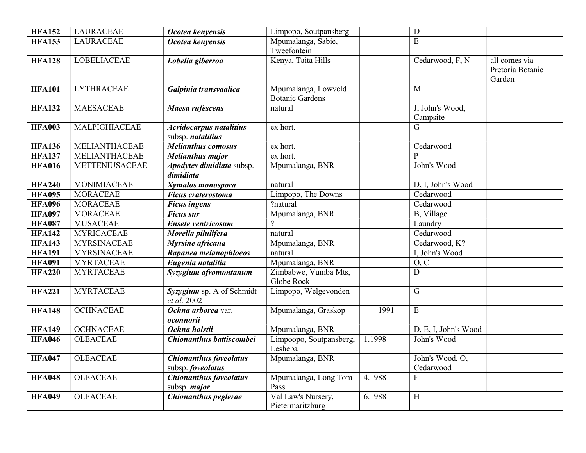| <b>HFA152</b> | <b>LAURACEAE</b>      | Ocotea kenyensis                                     | Limpopo, Soutpansberg                         |        | ${\bf D}$                    |                                             |
|---------------|-----------------------|------------------------------------------------------|-----------------------------------------------|--------|------------------------------|---------------------------------------------|
| <b>HFA153</b> | <b>LAURACEAE</b>      | Ocotea kenyensis                                     | Mpumalanga, Sabie,<br>Tweefontein             |        | E                            |                                             |
| <b>HFA128</b> | <b>LOBELIACEAE</b>    | Lobelia giberroa                                     | Kenya, Taita Hills                            |        | Cedarwood, F, N              | all comes via<br>Pretoria Botanic<br>Garden |
| <b>HFA101</b> | <b>LYTHRACEAE</b>     | Galpinia transvaalica                                | Mpumalanga, Lowveld<br><b>Botanic Gardens</b> |        | $\mathbf{M}$                 |                                             |
| <b>HFA132</b> | <b>MAESACEAE</b>      | Maesa rufescens                                      | natural                                       |        | J, John's Wood,<br>Campsite  |                                             |
| <b>HFA003</b> | MALPIGHIACEAE         | <b>Acridocarpus natalitius</b><br>subsp. natalitius  | ex hort.                                      |        | G                            |                                             |
| <b>HFA136</b> | MELIANTHACEAE         | <b>Melianthus comosus</b>                            | ex hort.                                      |        | Cedarwood                    |                                             |
| <b>HFA137</b> | MELIANTHACEAE         | <b>Melianthus major</b>                              | ex hort.                                      |        | P                            |                                             |
| <b>HFA016</b> | <b>METTENIUSACEAE</b> | Apodytes dimidiata subsp.<br>dimidiata               | Mpumalanga, BNR                               |        | John's Wood                  |                                             |
| <b>HFA240</b> | MONIMIACEAE           | Xymalos monospora                                    | natural                                       |        | D, I, John's Wood            |                                             |
| <b>HFA095</b> | <b>MORACEAE</b>       | <b>Ficus craterostoma</b>                            | Limpopo, The Downs                            |        | Cedarwood                    |                                             |
| <b>HFA096</b> | <b>MORACEAE</b>       | <b>Ficus ingens</b>                                  | ?natural                                      |        | Cedarwood                    |                                             |
| <b>HFA097</b> | <b>MORACEAE</b>       | <b>Ficus sur</b>                                     | Mpumalanga, BNR                               |        | B, Village                   |                                             |
| <b>HFA087</b> | <b>MUSACEAE</b>       | <b>Ensete ventricosum</b>                            | $\gamma$                                      |        | Laundry                      |                                             |
| <b>HFA142</b> | <b>MYRICACEAE</b>     | Morella pilulifera                                   | natural                                       |        | Cedarwood                    |                                             |
| <b>HFA143</b> | <b>MYRSINACEAE</b>    | Myrsine africana                                     | Mpumalanga, BNR                               |        | Cedarwood, K?                |                                             |
| <b>HFA191</b> | <b>MYRSINACEAE</b>    | Rapanea melanophioeos                                | natural                                       |        | I, John's Wood               |                                             |
| <b>HFA091</b> | <b>MYRTACEAE</b>      | Eugenia natalitia                                    | Mpumalanga, BNR                               |        | O, C                         |                                             |
| <b>HFA220</b> | <b>MYRTACEAE</b>      | Syzygium afromontanum                                | Zimbabwe, Vumba Mts,<br>Globe Rock            |        | $\mathbf D$                  |                                             |
| <b>HFA221</b> | <b>MYRTACEAE</b>      | Syzygium sp. A of Schmidt<br>et al. 2002             | Limpopo, Welgevonden                          |        | $\mathbf G$                  |                                             |
| <b>HFA148</b> | <b>OCHNACEAE</b>      | Ochna arborea var.<br>oconnorii                      | Mpumalanga, Graskop                           | 1991   | ${\bf E}$                    |                                             |
| <b>HFA149</b> | <b>OCHNACEAE</b>      | Ochna holstii                                        | Mpumalanga, BNR                               |        | D, E, I, John's Wood         |                                             |
| <b>HFA046</b> | <b>OLEACEAE</b>       | Chionanthus battiscombei                             | Limpoopo, Soutpansberg,<br>Lesheba            | 1.1998 | John's Wood                  |                                             |
| <b>HFA047</b> | <b>OLEACEAE</b>       | <b>Chionanthus foveolatus</b><br>subsp. foveolatus   | Mpumalanga, BNR                               |        | John's Wood, O,<br>Cedarwood |                                             |
| <b>HFA048</b> | <b>OLEACEAE</b>       | <b>Chionanthus foveolatus</b><br>subsp. <i>major</i> | Mpumalanga, Long Tom<br>Pass                  | 4.1988 | $\mathbf F$                  |                                             |
| <b>HFA049</b> | <b>OLEACEAE</b>       | Chionanthus peglerae                                 | Val Law's Nursery,<br>Pietermaritzburg        | 6.1988 | $\overline{H}$               |                                             |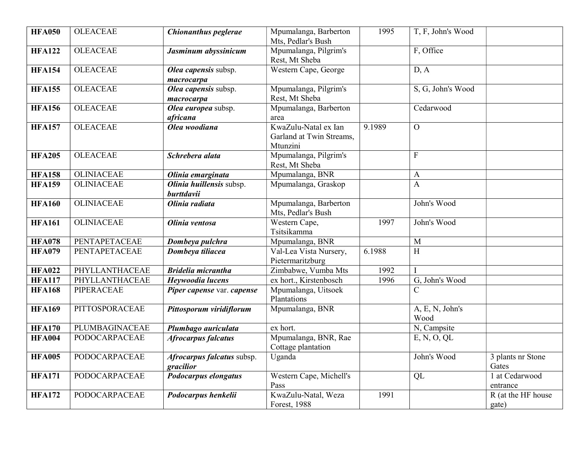| <b>HFA050</b> | <b>OLEACEAE</b>      | Chionanthus peglerae                    | Mpumalanga, Barberton<br>Mts, Pedlar's Bush                  | 1995   | T, F, John's Wood       |                             |
|---------------|----------------------|-----------------------------------------|--------------------------------------------------------------|--------|-------------------------|-----------------------------|
| <b>HFA122</b> | <b>OLEACEAE</b>      | Jasminum abyssinicum                    | Mpumalanga, Pilgrim's<br>Rest, Mt Sheba                      |        | F, Office               |                             |
| <b>HFA154</b> | <b>OLEACEAE</b>      | Olea capensis subsp.<br>macrocarpa      | Western Cape, George                                         |        | D, A                    |                             |
| <b>HFA155</b> | <b>OLEACEAE</b>      | Olea capensis subsp.<br>macrocarpa      | Mpumalanga, Pilgrim's<br>Rest, Mt Sheba                      |        | S, G, John's Wood       |                             |
| <b>HFA156</b> | <b>OLEACEAE</b>      | Olea europea subsp.<br>africana         | Mpumalanga, Barberton<br>area                                |        | Cedarwood               |                             |
| <b>HFA157</b> | <b>OLEACEAE</b>      | Olea woodiana                           | KwaZulu-Natal ex Ian<br>Garland at Twin Streams,<br>Mtunzini | 9.1989 | $\overline{O}$          |                             |
| <b>HFA205</b> | <b>OLEACEAE</b>      | Schrebera alata                         | Mpumalanga, Pilgrim's<br>Rest, Mt Sheba                      |        | $\overline{F}$          |                             |
| <b>HFA158</b> | <b>OLINIACEAE</b>    | Olinia emarginata                       | Mpumalanga, BNR                                              |        | $\mathbf{A}$            |                             |
| <b>HFA159</b> | <b>OLINIACEAE</b>    | Olinia huillensis subsp.<br>burttdavii  | Mpumalanga, Graskop                                          |        | $\mathbf{A}$            |                             |
| <b>HFA160</b> | <b>OLINIACEAE</b>    | Olinia radiata                          | Mpumalanga, Barberton<br>Mts, Pedlar's Bush                  |        | John's Wood             |                             |
| <b>HFA161</b> | <b>OLINIACEAE</b>    | Olinia ventosa                          | Western Cape,<br>Tsitsikamma                                 | 1997   | John's Wood             |                             |
| <b>HFA078</b> | PENTAPETACEAE        | Dombeya pulchra                         | Mpumalanga, BNR                                              |        | M                       |                             |
| <b>HFA079</b> | PENTAPETACEAE        | Dombeya tiliacea                        | Val-Lea Vista Nursery,<br>Pietermaritzburg                   | 6.1988 | H                       |                             |
| <b>HFA022</b> | PHYLLANTHACEAE       | <b>Bridelia micrantha</b>               | Zimbabwe, Vumba Mts                                          | 1992   |                         |                             |
| <b>HFA117</b> | PHYLLANTHACEAE       | Heywoodia lucens                        | ex hort., Kirstenbosch                                       | 1996   | G, John's Wood          |                             |
| <b>HFA168</b> | <b>PIPERACEAE</b>    | Piper capense var. capense              | Mpumalanga, Uitsoek<br>Plantations                           |        | $\overline{C}$          |                             |
| <b>HFA169</b> | PITTOSPORACEAE       | Pittosporum viridiflorum                | Mpumalanga, BNR                                              |        | A, E, N, John's<br>Wood |                             |
| <b>HFA170</b> | PLUMBAGINACEAE       | Plumbago auriculata                     | ex hort.                                                     |        | N, Campsite             |                             |
| <b>HFA004</b> | <b>PODOCARPACEAE</b> | <b>Afrocarpus falcatus</b>              | Mpumalanga, BNR, Rae<br>Cottage plantation                   |        | E, N, O, QL             |                             |
| <b>HFA005</b> | PODOCARPACEAE        | Afrocarpus falcatus subsp.<br>gracilior | Uganda                                                       |        | John's Wood             | 3 plants nr Stone<br>Gates  |
| <b>HFA171</b> | PODOCARPACEAE        | Podocarpus elongatus                    | Western Cape, Michell's<br>Pass                              |        | QL                      | 1 at Cedarwood<br>entrance  |
| <b>HFA172</b> | <b>PODOCARPACEAE</b> | Podocarpus henkelii                     | KwaZulu-Natal, Weza<br>Forest, 1988                          | 1991   |                         | R (at the HF house<br>gate) |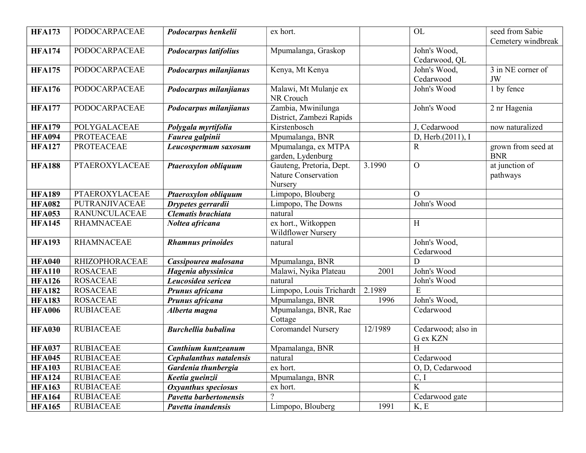| <b>HFA173</b> | <b>PODOCARPACEAE</b>  | Podocarpus henkelii            | ex hort.                  |         | OL                      | seed from Sabie    |
|---------------|-----------------------|--------------------------------|---------------------------|---------|-------------------------|--------------------|
|               |                       |                                |                           |         |                         | Cemetery windbreak |
| <b>HFA174</b> | PODOCARPACEAE         | Podocarpus latifolius          | Mpumalanga, Graskop       |         | John's Wood,            |                    |
|               |                       |                                |                           |         | Cedarwood, QL           |                    |
| <b>HFA175</b> | <b>PODOCARPACEAE</b>  | Podocarpus milanjianus         | Kenya, Mt Kenya           |         | John's Wood,            | 3 in NE corner of  |
|               |                       |                                |                           |         | Cedarwood               | JW                 |
| <b>HFA176</b> | <b>PODOCARPACEAE</b>  | Podocarpus milanjianus         | Malawi, Mt Mulanje ex     |         | John's Wood             | 1 by fence         |
|               |                       |                                | NR Crouch                 |         |                         |                    |
| <b>HFA177</b> | PODOCARPACEAE         | Podocarpus milanjianus         | Zambia, Mwinilunga        |         | John's Wood             | 2 nr Hagenia       |
|               |                       |                                | District, Zambezi Rapids  |         |                         |                    |
| <b>HFA179</b> | POLYGALACEAE          | Polygala myrtifolia            | Kirstenbosch              |         | J, Cedarwood            | now naturalized    |
| <b>HFA094</b> | <b>PROTEACEAE</b>     | Faurea galpinii                | Mpumalanga, BNR           |         | D, Herb. $(2011)$ , I   |                    |
| <b>HFA127</b> | <b>PROTEACEAE</b>     | Leucospermum saxosum           | Mpumalanga, ex MTPA       |         | R.                      | grown from seed at |
|               |                       |                                | garden, Lydenburg         |         |                         | <b>BNR</b>         |
| <b>HFA188</b> | <b>PTAEROXYLACEAE</b> | Ptaeroxylon obliquum           | Gauteng, Pretoria, Dept.  | 3.1990  | $\overline{O}$          | at junction of     |
|               |                       |                                | Nature Conservation       |         |                         | pathways           |
|               |                       |                                | Nursery                   |         |                         |                    |
| <b>HFA189</b> | PTAEROXYLACEAE        | Ptaeroxylon obliquum           | Limpopo, Blouberg         |         | $\Omega$                |                    |
| <b>HFA082</b> | PUTRANJIVACEAE        | Drypetes gerrardii             | Limpopo, The Downs        |         | John's Wood             |                    |
| <b>HFA053</b> | <b>RANUNCULACEAE</b>  | Clematis brachiata             | natural                   |         |                         |                    |
| <b>HFA145</b> | <b>RHAMNACEAE</b>     | Noltea africana                | ex hort., Witkoppen       |         | $\rm H$                 |                    |
|               |                       |                                | <b>Wildflower Nursery</b> |         |                         |                    |
| <b>HFA193</b> | <b>RHAMNACEAE</b>     | <b>Rhamnus</b> prinoides       | natural                   |         | John's Wood,            |                    |
|               |                       |                                |                           |         | Cedarwood               |                    |
| <b>HFA040</b> | <b>RHIZOPHORACEAE</b> | Cassipourea malosana           | Mpumalanga, BNR           |         | D                       |                    |
| <b>HFA110</b> | <b>ROSACEAE</b>       | Hagenia abyssinica             | Malawi, Nyika Plateau     | 2001    | John's Wood             |                    |
| <b>HFA126</b> | <b>ROSACEAE</b>       | Leucosidea sericea             | natural                   |         | John's Wood             |                    |
| <b>HFA182</b> | <b>ROSACEAE</b>       | Prunus africana                | Limpopo, Louis Trichardt  | 2.1989  | E                       |                    |
| <b>HFA183</b> | <b>ROSACEAE</b>       | Prunus africana                | Mpumalanga, BNR           | 1996    | John's Wood,            |                    |
| <b>HFA006</b> | <b>RUBIACEAE</b>      | Alberta magna                  | Mpumalanga, BNR, Rae      |         | Cedarwood               |                    |
|               |                       |                                | Cottage                   |         |                         |                    |
| <b>HFA030</b> | <b>RUBIACEAE</b>      | <b>Burchellia bubalina</b>     | <b>Coromandel Nursery</b> | 12/1989 | Cedarwood; also in      |                    |
|               |                       |                                |                           |         | G ex KZN                |                    |
| <b>HFA037</b> | <b>RUBIACEAE</b>      | Canthium kuntzeanum            | Mpamalanga, BNR           |         | H                       |                    |
| <b>HFA045</b> | <b>RUBIACEAE</b>      | <b>Cephalanthus natalensis</b> | natural                   |         | Cedarwood               |                    |
| <b>HFA103</b> | <b>RUBIACEAE</b>      | Gardenia thunbergia            | ex hort.                  |         | O, D, Cedarwood         |                    |
| <b>HFA124</b> | <b>RUBIACEAE</b>      | Keetia gueinzii                | Mpumalanga, BNR           |         | C, I                    |                    |
| <b>HFA163</b> | <b>RUBIACEAE</b>      | Oxyanthus speciosus            | ex hort.                  |         | $\overline{\mathbf{K}}$ |                    |
| <b>HFA164</b> | <b>RUBIACEAE</b>      | Pavetta barbertonensis         | $\overline{2}$            |         | Cedarwood gate          |                    |
| <b>HFA165</b> | <b>RUBIACEAE</b>      | Pavetta inandensis             | Limpopo, Blouberg         | 1991    | K, E                    |                    |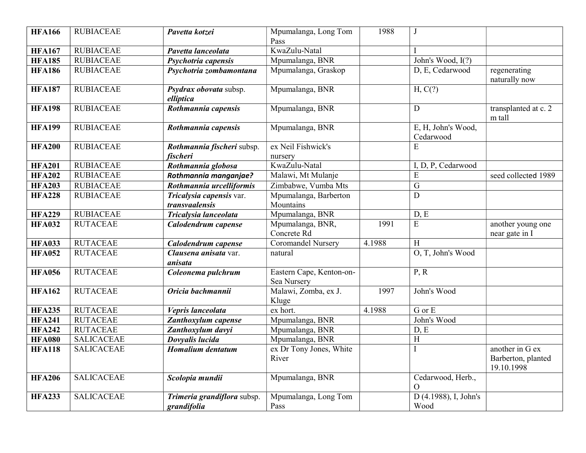| <b>HFA166</b> | <b>RUBIACEAE</b>  | Pavetta kotzei                             | Mpumalanga, Long Tom<br>Pass            | 1988   | J                                 |                                                     |
|---------------|-------------------|--------------------------------------------|-----------------------------------------|--------|-----------------------------------|-----------------------------------------------------|
| <b>HFA167</b> | <b>RUBIACEAE</b>  | Pavetta lanceolata                         | KwaZulu-Natal                           |        |                                   |                                                     |
| <b>HFA185</b> | <b>RUBIACEAE</b>  | Psychotria capensis                        | Mpumalanga, BNR                         |        | John's Wood, I(?)                 |                                                     |
| <b>HFA186</b> | <b>RUBIACEAE</b>  | Psychotria zombamontana                    | Mpumalanga, Graskop                     |        | D, E, Cedarwood                   | regenerating<br>naturally now                       |
| <b>HFA187</b> | <b>RUBIACEAE</b>  | Psydrax obovata subsp.<br>elliptica        | Mpumalanga, BNR                         |        | H, C(?)                           |                                                     |
| <b>HFA198</b> | <b>RUBIACEAE</b>  | Rothmannia capensis                        | Mpumalanga, BNR                         |        | $\mathbf D$                       | transplanted at c. 2<br>m tall                      |
| <b>HFA199</b> | <b>RUBIACEAE</b>  | Rothmannia capensis                        | Mpumalanga, BNR                         |        | E, H, John's Wood,<br>Cedarwood   |                                                     |
| <b>HFA200</b> | <b>RUBIACEAE</b>  | Rothmannia fischeri subsp.<br>fischeri     | ex Neil Fishwick's<br>nursery           |        | E                                 |                                                     |
| <b>HFA201</b> | <b>RUBIACEAE</b>  | Rothmannia globosa                         | KwaZulu-Natal                           |        | I, D, P, Cedarwood                |                                                     |
| <b>HFA202</b> | <b>RUBIACEAE</b>  | Rothmannia manganjae?                      | Malawi, Mt Mulanje                      |        | E                                 | seed collected 1989                                 |
| <b>HFA203</b> | <b>RUBIACEAE</b>  | Rothmannia urcelliformis                   | Zimbabwe, Vumba Mts                     |        | $\overline{G}$                    |                                                     |
| <b>HFA228</b> | <b>RUBIACEAE</b>  | Tricalysia capensis var.<br>transvaalensis | Mpumalanga, Barberton<br>Mountains      |        | D                                 |                                                     |
| <b>HFA229</b> | <b>RUBIACEAE</b>  | Tricalysia lanceolata                      | Mpumalanga, BNR                         |        | D, E                              |                                                     |
| <b>HFA032</b> | <b>RUTACEAE</b>   | Calodendrum capense                        | Mpumalanga, BNR,<br>Concrete Rd         | 1991   | E                                 | another young one<br>near gate in I                 |
| <b>HFA033</b> | <b>RUTACEAE</b>   | Calodendrum capense                        | Coromandel Nursery                      | 4.1988 | H                                 |                                                     |
| <b>HFA052</b> | <b>RUTACEAE</b>   | Clausena anisata var.<br>anisata           | natural                                 |        | O, T, John's Wood                 |                                                     |
| <b>HFA056</b> | <b>RUTACEAE</b>   | Coleonema pulchrum                         | Eastern Cape, Kenton-on-<br>Sea Nursery |        | P, R                              |                                                     |
| <b>HFA162</b> | <b>RUTACEAE</b>   | Oricia bachmannii                          | Malawi, Zomba, ex J.<br>Kluge           | 1997   | John's Wood                       |                                                     |
| <b>HFA235</b> | <b>RUTACEAE</b>   | Vepris lanceolata                          | ex hort.                                | 4.1988 | G or E                            |                                                     |
| <b>HFA241</b> | <b>RUTACEAE</b>   | Zanthoxylum capense                        | Mpumalanga, BNR                         |        | John's Wood                       |                                                     |
| <b>HFA242</b> | <b>RUTACEAE</b>   | Zanthoxylum davyi                          | Mpumalanga, BNR                         |        | D, E                              |                                                     |
| <b>HFA080</b> | <b>SALICACEAE</b> | Dovyalis lucida                            | Mpumalanga, BNR                         |        | H                                 |                                                     |
| <b>HFA118</b> | <b>SALICACEAE</b> | <b>Homalium</b> dentatum                   | ex Dr Tony Jones, White<br>River        |        | I                                 | another in G ex<br>Barberton, planted<br>19.10.1998 |
| <b>HFA206</b> | <b>SALICACEAE</b> | Scolopia mundii                            | Mpumalanga, BNR                         |        | Cedarwood, Herb.,<br>$\mathbf{O}$ |                                                     |
| <b>HFA233</b> | <b>SALICACEAE</b> | Trimeria grandiflora subsp.<br>grandifolia | Mpumalanga, Long Tom<br>Pass            |        | D (4.1988), I, John's<br>Wood     |                                                     |